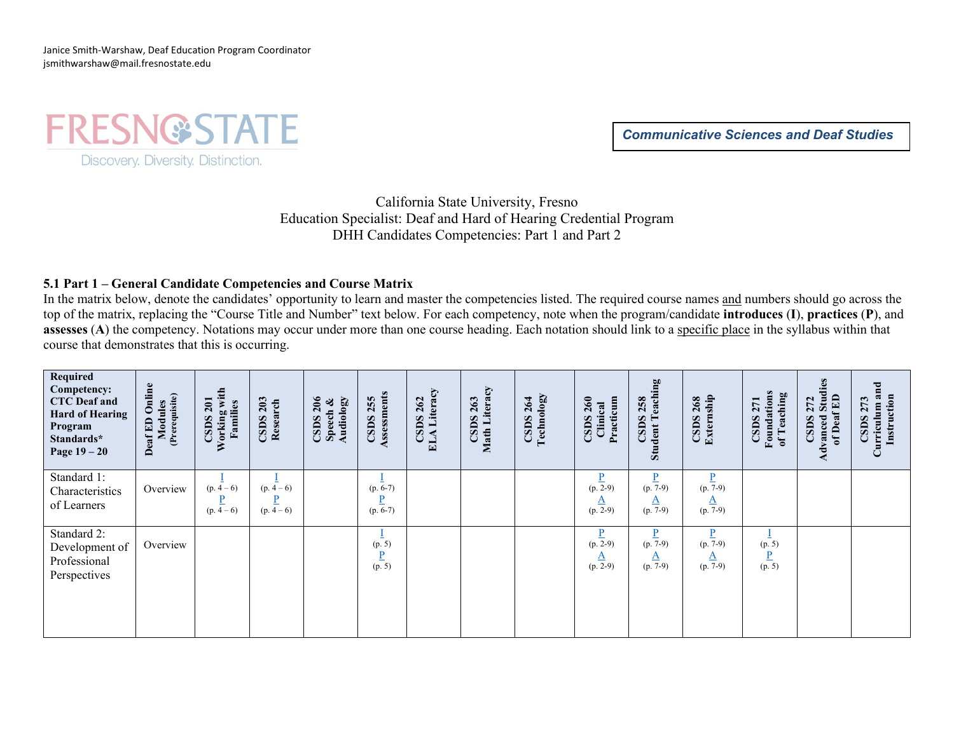Janice Smith-Warshaw, Deaf Education Program Coordinator jsmithwarshaw@mail.fresnostate.edu

**FRESN@STATE** Discovery. Diversity. Distinction.

*Communicative Sciences and Deaf Studies*

California State University, Fresno Education Specialist: Deaf and Hard of Hearing Credential Program DHH Candidates Competencies: Part 1 and Part 2

# **5.1 Part 1 – General Candidate Competencies and Course Matrix**

In the matrix below, denote the candidates' opportunity to learn and master the competencies listed. The required course names and numbers should go across the top of the matrix, replacing the "Course Title and Number" text below. For each competency, note when the program/candidate **introduces** (**I**), **practices** (**P**), and **assesses** (A) the competency. Notations may occur under more than one course heading. Each notation should link to a specific place in the syllabus within that course that demonstrates that this is occurring.

| Required<br>Competency:<br><b>CTC</b> Deaf and<br><b>Hard of Hearing</b><br>Program<br>Standards*<br>Page $19-20$ | Deaf ED Online<br>Modules<br>(Prerequisite) | Working with<br><b>CSDS 201</b><br>Families | CSDS 203<br>Research     | $\text{CSDS } 206$<br>Audiology<br>Speech & | Assessments<br><b>CSDS 255</b> | Literacy<br>262<br>CSDS<br>ELA | Literacy<br>263<br><b>CSDS</b><br>Math 1 | Technology<br>CSDS 264 | Practicum<br>$\text{CSDS } 260$<br>Clinical                  | ing<br>eachi<br><b>CSDS 258</b><br>⊢<br><b>Student</b> | Externship<br>268<br>CSDS:                   | Foundations<br>eaching<br><b>CSDS 271</b><br>of $T$ | dvanced Stud<br>of Deaf ED<br>Stu<br><b>CSDS 272</b> | Curriculum and<br>Instruction<br>273<br><b>CSDS</b> |
|-------------------------------------------------------------------------------------------------------------------|---------------------------------------------|---------------------------------------------|--------------------------|---------------------------------------------|--------------------------------|--------------------------------|------------------------------------------|------------------------|--------------------------------------------------------------|--------------------------------------------------------|----------------------------------------------|-----------------------------------------------------|------------------------------------------------------|-----------------------------------------------------|
| Standard 1:<br>Characteristics<br>of Learners                                                                     | Overview                                    | $(p. \frac{1}{4} - 6)$<br>D<br>$(p. 4-6)$   | $(p. 4-6)$<br>$(p. 4-6)$ |                                             | $(p. 6-7)$<br>$(p. 6-7)$       |                                |                                          |                        | $\frac{p}{(p. 2-9)}$<br>$\frac{A}{(p. 2-9)}$                 | $\frac{p}{(p. 7-9)}$<br><u>A</u><br>$(p.7-9)$          | $\frac{P}{(p. 7-9)}$<br>$\frac{A}{(p. 7-9)}$ |                                                     |                                                      |                                                     |
| Standard 2:<br>Development of<br>Professional<br>Perspectives                                                     | Overview                                    |                                             |                          |                                             | (p. 5)<br>D<br>(p. 5)          |                                |                                          |                        | $\underline{\mathbf{P}}$<br>$(p. 2-9)$<br>$rac{A}{(p. 2-9)}$ | $\frac{p}{(p. 7-9)}$<br>$\frac{A}{(p. 7-9)}$           | $\frac{P}{(p. 7-9)}$<br>$\frac{A}{(p. 7-9)}$ | (p. 5)<br>$\frac{P}{(p.5)}$                         |                                                      |                                                     |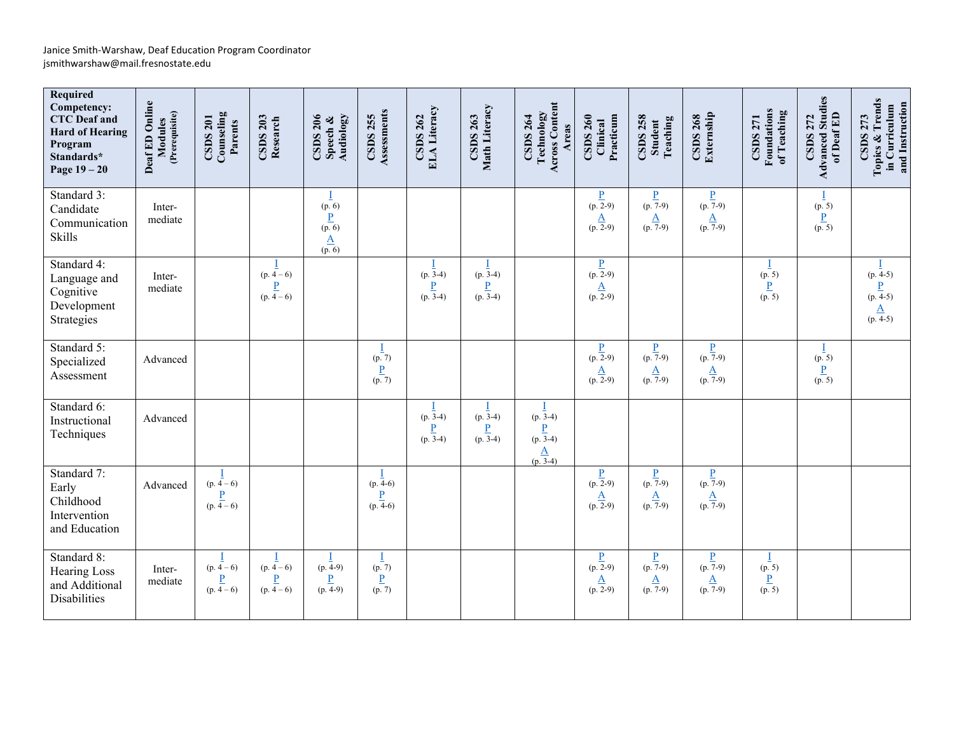| Required<br>Competency:<br><b>CTC</b> Deaf and<br><b>Hard of Hearing</b><br>Program<br>Standards*<br>Page $19-20$ | Deaf ED Online<br>(Prerequisite)<br>Modules | CSDS 201<br>Counseling<br>Parents                        | CSDS 203<br>Research                                     | Audiology<br>$\text{CSDS } 206$<br>Speech $\&$                               | Assessments<br><b>CSDS 255</b>                           | ELA Literacy<br><b>CSDS 262</b>    | Math Literacy<br>CSDS 263          | Technology<br>Across Content<br><b>CSDS 264</b><br>Areas   | Practicum<br>$\text{CSDS } 260$<br>Clinical | <b>CSDS 258</b><br>Student<br>Teaching                             | CSDS 268<br>Externship                     | Foundations<br>of Teaching<br><b>CSDS 271</b> | <b>Advanced Studies</b><br>of Deaf ED<br><b>CSDS 272</b> | Topics & Trends<br>in Curriculum<br>and Instruction<br><b>CSDS 273</b> |
|-------------------------------------------------------------------------------------------------------------------|---------------------------------------------|----------------------------------------------------------|----------------------------------------------------------|------------------------------------------------------------------------------|----------------------------------------------------------|------------------------------------|------------------------------------|------------------------------------------------------------|---------------------------------------------|--------------------------------------------------------------------|--------------------------------------------|-----------------------------------------------|----------------------------------------------------------|------------------------------------------------------------------------|
| Standard 3:<br>Candidate<br>Communication<br>Skills                                                               | Inter-<br>mediate                           |                                                          |                                                          | (p. 6)<br>$\overline{\mathbf{P}}$<br>(p.6)<br>$\frac{\underline{A}}{(p. 6)}$ |                                                          |                                    |                                    |                                                            | $\frac{P}{(p. 2-9)}$<br>$rac{A}{(p. 2-9)}$  | $\frac{P}{(p. 7-9)}$<br>$rac{A}{(p. 7-9)}$                         | $\frac{P}{(p. 7-9)}$<br>$rac{A}{(p. 7-9)}$ |                                               | (p. 5)<br>$\underline{P}$<br>(p. 5)                      |                                                                        |
| Standard 4:<br>Language and<br>Cognitive<br>Development<br>Strategies                                             | Inter-<br>mediate                           |                                                          | $(p. 4-6)$<br>$\frac{P}{(p. 4-6)}$                       |                                                                              |                                                          | $(p. 3-4)$<br>$\frac{P}{(p. 3-4)}$ | $(p. 3-4)$<br>$\frac{P}{(p. 3-4)}$ |                                                            | $\frac{P}{(p. 2-9)}$<br>$rac{A}{(p. 2-9)}$  |                                                                    |                                            | (p. 5)<br>$\frac{P}{(p.5)}$                   |                                                          | $(p. \frac{1}{4-5})$<br>$\frac{P}{(p. 4-5)}$<br>$rac{A}{(p. 4-5)}$     |
| Standard 5:<br>Specialized<br>Assessment                                                                          | Advanced                                    |                                                          |                                                          |                                                                              | I<br>(p. 7)<br>$\frac{P}{(p.7)}$                         |                                    |                                    |                                                            | $\frac{P}{(p. 2-9)}$<br>$rac{A}{(p. 2-9)}$  | $\frac{\underline{P}}{(\underline{p. 7-9})}$<br>$rac{A}{(p. 7-9)}$ | $\frac{P}{(p. 7-9)}$<br>$rac{A}{(p. 7-9)}$ |                                               | Ī<br>(p. 5)<br>$\frac{P}{(p.5)}$                         |                                                                        |
| Standard 6:<br>Instructional<br>Techniques                                                                        | Advanced                                    |                                                          |                                                          |                                                                              |                                                          | $(p. 3-4)$<br>$\frac{P}{(p. 3-4)}$ | $(p. 3-4)$<br>$\frac{P}{(p.3-4)}$  | $(p. 3-4)$<br>$\frac{P}{(p\ 3-4)}$<br>$\frac{A}{(p\ 3-4)}$ |                                             |                                                                    |                                            |                                               |                                                          |                                                                        |
| Standard 7:<br>Early<br>Childhood<br>Intervention<br>and Education                                                | Advanced                                    | $\frac{1}{(p. 4-6)}$<br>$\frac{\underline{P}}{(p. 4-6)}$ |                                                          |                                                                              | $(p. 4-6)$<br>$\overline{\mathbf{P}}$<br>$(p. 4-6)$      |                                    |                                    |                                                            | $\frac{P}{(p. 2-9)}$<br>$rac{A}{(p. 2-9)}$  | $\frac{P}{(p. 7-9)}$<br>$rac{A}{(p. 7-9)}$                         | $\frac{P}{(p. 7-9)}$<br>$rac{A}{(p. 7-9)}$ |                                               |                                                          |                                                                        |
| Standard 8:<br><b>Hearing Loss</b><br>and Additional<br>Disabilities                                              | Inter-<br>mediate                           | $\frac{1}{(p. 4-6)}$<br>$\frac{\underline{P}}{(p. 4-6)}$ | $\frac{1}{(p. 4-6)}$<br>$\frac{\underline{P}}{(p. 4-6)}$ | $\frac{1}{(p. 4-9)}$<br>$\frac{P}{(p. 4-9)}$                                 | $\frac{I}{(p. 7)}$<br>$\underline{\mathbf{P}}$<br>(p. 7) |                                    |                                    |                                                            | $\frac{P}{(p. 2-9)}$<br>$rac{A}{(p. 2-9)}$  | $\frac{P}{(p. 7-9)}$<br>$\overline{\mathbf{A}}$<br>$(p.7-9)$       | $\frac{P}{(p. 7-9)}$<br>$rac{A}{(p. 7-9)}$ | (p. 5)<br>$\underline{\mathbf{P}}$<br>(p. 5)  |                                                          |                                                                        |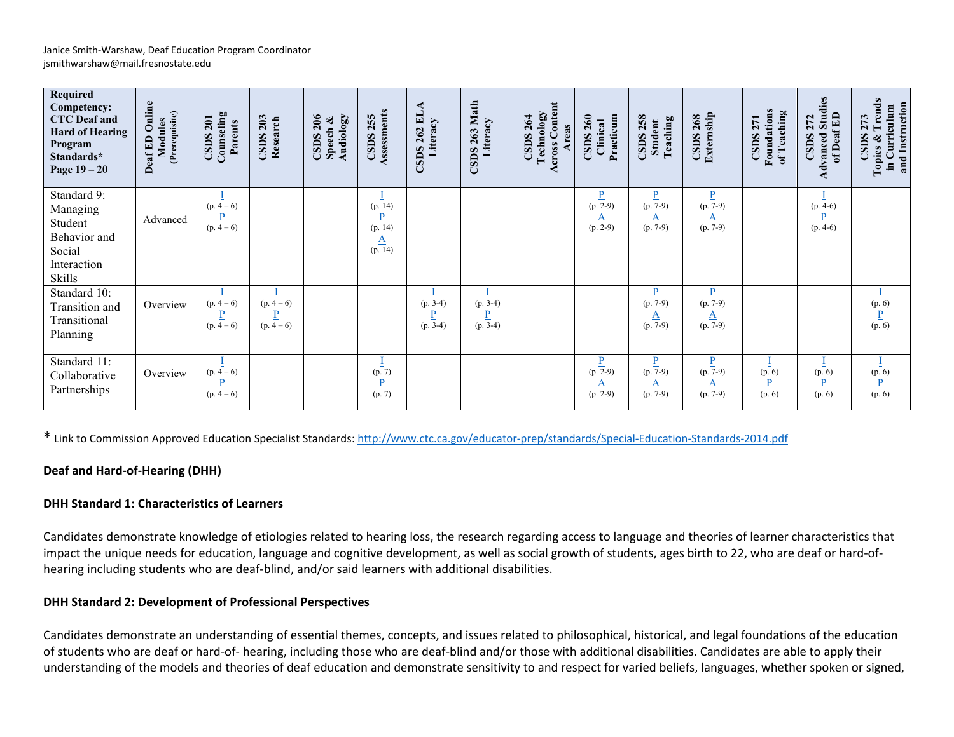| Required<br>Competency:<br><b>CTC</b> Deaf and<br><b>Hard of Hearing</b><br>Program<br>Standards*<br>Page $19-20$ | Online<br>(Prerequisite)<br>Modules<br>Deaf ED | Counseling<br>CSDS 201<br>Parents                   | 203<br>Research<br>CSDS                        | 206<br>Audiology<br>Speech &<br><b>CSDS</b> | Assessments<br><b>CSDS 255</b>               | <b>CSDS 262 ELA</b><br>Literacy    | Math<br>Literacy<br>263<br>CSDS              | <b>Across Content</b><br>Technology<br>$CSDS$ 264<br>Areas | Practicum<br>$\text{CSDS } 260$<br>Clinical  | <b>CSDS 258</b><br>Teaching<br><b>Student</b>          | Externship<br>CSDS268                        | <b>Foundations</b><br>of Teaching<br><b>CSDS 271</b> | <b>Studies</b><br>of Deaf ED<br>272<br>Advanced<br><b>CSDS</b> | rends<br>and Instruction<br>in Curriculum<br><b>CSDS 273</b><br>Topics & |
|-------------------------------------------------------------------------------------------------------------------|------------------------------------------------|-----------------------------------------------------|------------------------------------------------|---------------------------------------------|----------------------------------------------|------------------------------------|----------------------------------------------|------------------------------------------------------------|----------------------------------------------|--------------------------------------------------------|----------------------------------------------|------------------------------------------------------|----------------------------------------------------------------|--------------------------------------------------------------------------|
| Standard 9:<br>Managing<br>Student<br>Behavior and<br>Social<br>Interaction<br>Skills                             | Advanced                                       | $(p. 4-6)$<br>$\overline{P}$<br>$(p. 4-6)$          |                                                |                                             | (p. 14)<br>D<br>(p. 14)<br>$rac{A}{(p. 14)}$ |                                    |                                              |                                                            | $\frac{P}{(p. 2-9)}$<br>$\frac{A}{(p. 2-9)}$ | $\frac{P}{(p. 7-9)}$<br>$\Delta$<br>$(p. 7-9)$         | $\frac{P}{(p. 7-9)}$<br>$\frac{A}{(p. 7-9)}$ |                                                      | $(p. 4-6)$<br>D<br>$(p. 4-6)$                                  |                                                                          |
| Standard 10:<br>Transition and<br>Transitional<br>Planning                                                        | Overview                                       | $(p. 4-6)$<br>$(p. 4-6)$                            | $(p. \frac{1}{4} - 6)$<br>$\frac{P}{(p. 4-6)}$ |                                             |                                              | $(p. 3-4)$<br>$\frac{P}{(p. 3-4)}$ | $(p.\overline{3-4})$<br>$\frac{P}{(p. 3-4)}$ |                                                            |                                              | $(p. 7-9)$<br>$\frac{A}{(p. 7-9)}$                     | $\frac{P}{(p. 7-9)}$<br>$\frac{A}{(p. 7-9)}$ |                                                      |                                                                | (p. 6)<br>$\frac{P}{(p.6)}$                                              |
| Standard 11:<br>Collaborative<br>Partnerships                                                                     | Overview                                       | $(p. 4-6)$<br>$\overline{\mathbf{P}}$<br>$(p. 4-6)$ |                                                |                                             | (p. 7)<br>$\overline{b}$<br>(p. 7)           |                                    |                                              |                                                            | $\frac{P}{(p. 2-9)}$<br>$\frac{A}{(p. 2-9)}$ | $\underline{P}$<br>$(p.7-9)$<br>$\Delta$<br>$(p. 7-9)$ | $\frac{P}{(p. 7-9)}$<br>$\frac{A}{(p. 7-9)}$ | (p. 6)<br>$\overline{\mathbf{P}}$<br>(p. 6)          | (p. 6)<br>$\underline{\mathbf{P}}$<br>(p. 6)                   | (p. 6)<br>$\frac{P}{(p. 6)}$                                             |

\* Link to Commission Approved Education Specialist Standards:<http://www.ctc.ca.gov/educator-prep/standards/Special-Education-Standards-2014.pdf>

# **Deaf and Hard-of-Hearing (DHH)**

# **DHH Standard 1: Characteristics of Learners**

Candidates demonstrate knowledge of etiologies related to hearing loss, the research regarding access to language and theories of learner characteristics that impact the unique needs for education, language and cognitive development, as well as social growth of students, ages birth to 22, who are deaf or hard-ofhearing including students who are deaf-blind, and/or said learners with additional disabilities.

# **DHH Standard 2: Development of Professional Perspectives**

Candidates demonstrate an understanding of essential themes, concepts, and issues related to philosophical, historical, and legal foundations of the education of students who are deaf or hard-of- hearing, including those who are deaf-blind and/or those with additional disabilities. Candidates are able to apply their understanding of the models and theories of deaf education and demonstrate sensitivity to and respect for varied beliefs, languages, whether spoken or signed,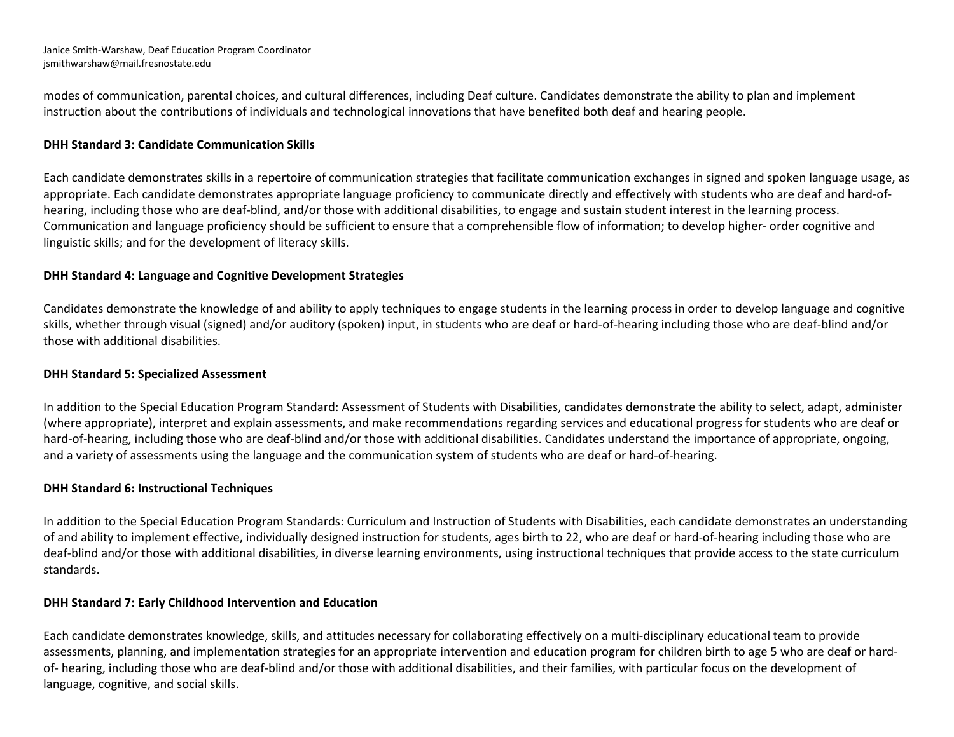Janice Smith-Warshaw, Deaf Education Program Coordinator jsmithwarshaw@mail.fresnostate.edu

modes of communication, parental choices, and cultural differences, including Deaf culture. Candidates demonstrate the ability to plan and implement instruction about the contributions of individuals and technological innovations that have benefited both deaf and hearing people.

# **DHH Standard 3: Candidate Communication Skills**

Each candidate demonstrates skills in a repertoire of communication strategies that facilitate communication exchanges in signed and spoken language usage, as appropriate. Each candidate demonstrates appropriate language proficiency to communicate directly and effectively with students who are deaf and hard-ofhearing, including those who are deaf-blind, and/or those with additional disabilities, to engage and sustain student interest in the learning process. Communication and language proficiency should be sufficient to ensure that a comprehensible flow of information; to develop higher- order cognitive and linguistic skills; and for the development of literacy skills.

#### **DHH Standard 4: Language and Cognitive Development Strategies**

Candidates demonstrate the knowledge of and ability to apply techniques to engage students in the learning process in order to develop language and cognitive skills, whether through visual (signed) and/or auditory (spoken) input, in students who are deaf or hard-of-hearing including those who are deaf-blind and/or those with additional disabilities.

#### **DHH Standard 5: Specialized Assessment**

In addition to the Special Education Program Standard: Assessment of Students with Disabilities, candidates demonstrate the ability to select, adapt, administer (where appropriate), interpret and explain assessments, and make recommendations regarding services and educational progress for students who are deaf or hard-of-hearing, including those who are deaf-blind and/or those with additional disabilities. Candidates understand the importance of appropriate, ongoing, and a variety of assessments using the language and the communication system of students who are deaf or hard-of-hearing.

#### **DHH Standard 6: Instructional Techniques**

In addition to the Special Education Program Standards: Curriculum and Instruction of Students with Disabilities, each candidate demonstrates an understanding of and ability to implement effective, individually designed instruction for students, ages birth to 22, who are deaf or hard-of-hearing including those who are deaf-blind and/or those with additional disabilities, in diverse learning environments, using instructional techniques that provide access to the state curriculum standards.

# **DHH Standard 7: Early Childhood Intervention and Education**

Each candidate demonstrates knowledge, skills, and attitudes necessary for collaborating effectively on a multi-disciplinary educational team to provide assessments, planning, and implementation strategies for an appropriate intervention and education program for children birth to age 5 who are deaf or hardof- hearing, including those who are deaf-blind and/or those with additional disabilities, and their families, with particular focus on the development of language, cognitive, and social skills.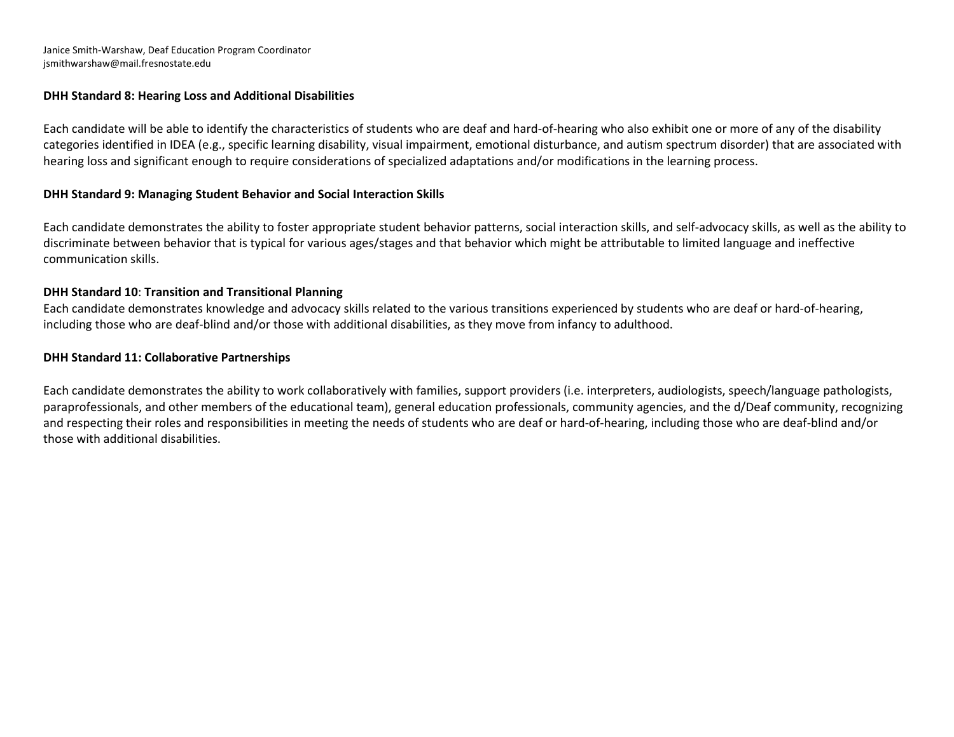Janice Smith-Warshaw, Deaf Education Program Coordinator jsmithwarshaw@mail.fresnostate.edu

# **DHH Standard 8: Hearing Loss and Additional Disabilities**

Each candidate will be able to identify the characteristics of students who are deaf and hard-of-hearing who also exhibit one or more of any of the disability categories identified in IDEA (e.g., specific learning disability, visual impairment, emotional disturbance, and autism spectrum disorder) that are associated with hearing loss and significant enough to require considerations of specialized adaptations and/or modifications in the learning process.

# **DHH Standard 9: Managing Student Behavior and Social Interaction Skills**

Each candidate demonstrates the ability to foster appropriate student behavior patterns, social interaction skills, and self-advocacy skills, as well as the ability to discriminate between behavior that is typical for various ages/stages and that behavior which might be attributable to limited language and ineffective communication skills.

# **DHH Standard 10**: **Transition and Transitional Planning**

Each candidate demonstrates knowledge and advocacy skills related to the various transitions experienced by students who are deaf or hard-of-hearing, including those who are deaf-blind and/or those with additional disabilities, as they move from infancy to adulthood.

#### **DHH Standard 11: Collaborative Partnerships**

Each candidate demonstrates the ability to work collaboratively with families, support providers (i.e. interpreters, audiologists, speech/language pathologists, paraprofessionals, and other members of the educational team), general education professionals, community agencies, and the d/Deaf community, recognizing and respecting their roles and responsibilities in meeting the needs of students who are deaf or hard-of-hearing, including those who are deaf-blind and/or those with additional disabilities.